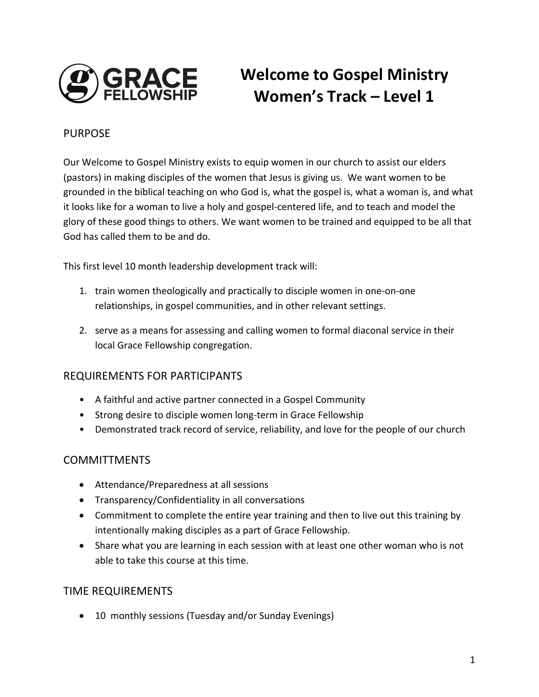

# **Welcome to Gospel Ministry Women's Track – Level 1**

#### PURPOSE

Our Welcome to Gospel Ministry exists to equip women in our church to assist our elders (pastors) in making disciples of the women that Jesus is giving us. We want women to be grounded in the biblical teaching on who God is, what the gospel is, what a woman is, and what it looks like for a woman to live a holy and gospel-centered life, and to teach and model the glory of these good things to others. We want women to be trained and equipped to be all that God has called them to be and do.

This first level 10 month leadership development track will:

- 1. train women theologically and practically to disciple women in one-on-one relationships, in gospel communities, and in other relevant settings.
- 2. serve as a means for assessing and calling women to formal diaconal service in their local Grace Fellowship congregation.

#### REQUIREMENTS FOR PARTICIPANTS

- A faithful and active partner connected in a Gospel Community
- Strong desire to disciple women long-term in Grace Fellowship
- Demonstrated track record of service, reliability, and love for the people of our church

#### **COMMITTMENTS**

- Attendance/Preparedness at all sessions
- Transparency/Confidentiality in all conversations
- Commitment to complete the entire year training and then to live out this training by intentionally making disciples as a part of Grace Fellowship.
- Share what you are learning in each session with at least one other woman who is not able to take this course at this time.

#### TIME REQUIREMENTS

• 10 monthly sessions (Tuesday and/or Sunday Evenings)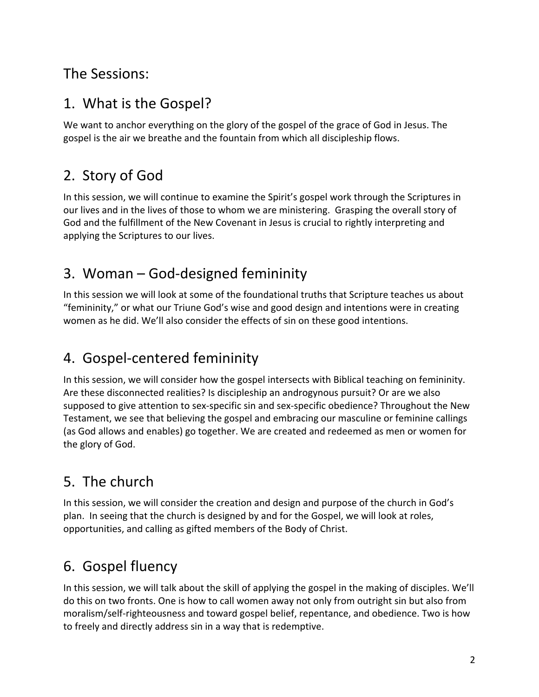#### The Sessions:

#### 1. What is the Gospel?

We want to anchor everything on the glory of the gospel of the grace of God in Jesus. The gospel is the air we breathe and the fountain from which all discipleship flows.

## 2. Story of God

In this session, we will continue to examine the Spirit's gospel work through the Scriptures in our lives and in the lives of those to whom we are ministering. Grasping the overall story of God and the fulfillment of the New Covenant in Jesus is crucial to rightly interpreting and applying the Scriptures to our lives.

### 3. Woman – God-designed femininity

In this session we will look at some of the foundational truths that Scripture teaches us about "femininity," or what our Triune God's wise and good design and intentions were in creating women as he did. We'll also consider the effects of sin on these good intentions.

#### 4. Gospel-centered femininity

In this session, we will consider how the gospel intersects with Biblical teaching on femininity. Are these disconnected realities? Is discipleship an androgynous pursuit? Or are we also supposed to give attention to sex-specific sin and sex-specific obedience? Throughout the New Testament, we see that believing the gospel and embracing our masculine or feminine callings (as God allows and enables) go together. We are created and redeemed as men or women for the glory of God.

# 5. The church

In this session, we will consider the creation and design and purpose of the church in God's plan. In seeing that the church is designed by and for the Gospel, we will look at roles, opportunities, and calling as gifted members of the Body of Christ.

# 6. Gospel fluency

In this session, we will talk about the skill of applying the gospel in the making of disciples. We'll do this on two fronts. One is how to call women away not only from outright sin but also from moralism/self-righteousness and toward gospel belief, repentance, and obedience. Two is how to freely and directly address sin in a way that is redemptive.